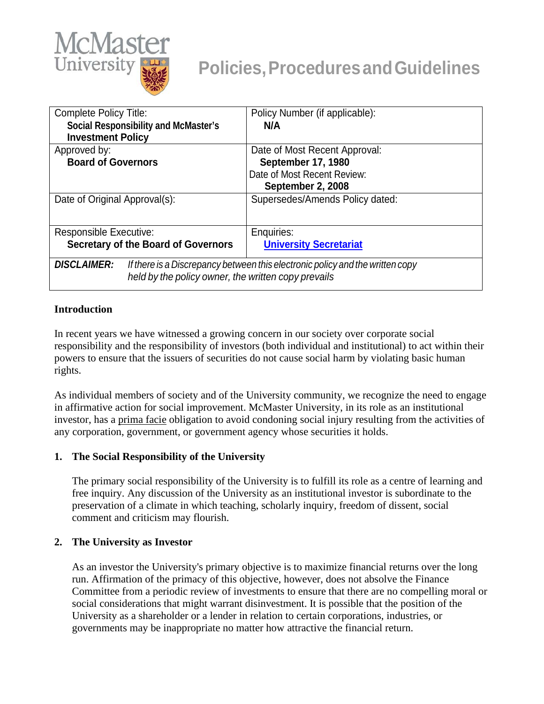

| <b>Complete Policy Title:</b>                                                                                                                              | Policy Number (if applicable):  |
|------------------------------------------------------------------------------------------------------------------------------------------------------------|---------------------------------|
| <b>Social Responsibility and McMaster's</b>                                                                                                                | N/A                             |
| <b>Investment Policy</b>                                                                                                                                   |                                 |
| Approved by:                                                                                                                                               | Date of Most Recent Approval:   |
| <b>Board of Governors</b>                                                                                                                                  | September 17, 1980              |
|                                                                                                                                                            | Date of Most Recent Review:     |
|                                                                                                                                                            | September 2, 2008               |
| Date of Original Approval(s):                                                                                                                              | Supersedes/Amends Policy dated: |
| <b>Responsible Executive:</b>                                                                                                                              | Enquiries:                      |
| <b>Secretary of the Board of Governors</b>                                                                                                                 | <b>University Secretariat</b>   |
| <b>DISCLAIMER:</b><br>If there is a Discrepancy between this electronic policy and the written copy<br>held by the policy owner, the written copy prevails |                                 |

### **Introduction**

In recent years we have witnessed a growing concern in our society over corporate social responsibility and the responsibility of investors (both individual and institutional) to act within their powers to ensure that the issuers of securities do not cause social harm by violating basic human rights.

As individual members of society and of the University community, we recognize the need to engage in affirmative action for social improvement. McMaster University, in its role as an institutional investor, has a prima facie obligation to avoid condoning social injury resulting from the activities of any corporation, government, or government agency whose securities it holds.

### **1. The Social Responsibility of the University**

The primary social responsibility of the University is to fulfill its role as a centre of learning and free inquiry. Any discussion of the University as an institutional investor is subordinate to the preservation of a climate in which teaching, scholarly inquiry, freedom of dissent, social comment and criticism may flourish.

### **2. The University as Investor**

As an investor the University's primary objective is to maximize financial returns over the long run. Affirmation of the primacy of this objective, however, does not absolve the Finance Committee from a periodic review of investments to ensure that there are no compelling moral or social considerations that might warrant disinvestment. It is possible that the position of the University as a shareholder or a lender in relation to certain corporations, industries, or governments may be inappropriate no matter how attractive the financial return.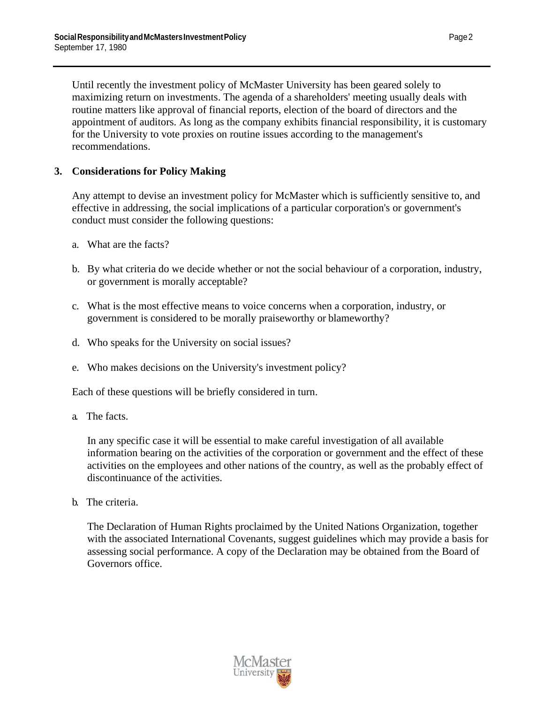Until recently the investment policy of McMaster University has been geared solely to maximizing return on investments. The agenda of a shareholders' meeting usually deals with routine matters like approval of financial reports, election of the board of directors and the appointment of auditors. As long as the company exhibits financial responsibility, it is customary for the University to vote proxies on routine issues according to the management's recommendations.

# **3. Considerations for Policy Making**

Any attempt to devise an investment policy for McMaster which is sufficiently sensitive to, and effective in addressing, the social implications of a particular corporation's or government's conduct must consider the following questions:

- a. What are the facts?
- b. By what criteria do we decide whether or not the social behaviour of a corporation, industry, or government is morally acceptable?
- c. What is the most effective means to voice concerns when a corporation, industry, or government is considered to be morally praiseworthy or blameworthy?
- d. Who speaks for the University on social issues?
- e. Who makes decisions on the University's investment policy?

Each of these questions will be briefly considered in turn.

a. The facts.

In any specific case it will be essential to make careful investigation of all available information bearing on the activities of the corporation or government and the effect of these activities on the employees and other nations of the country, as well as the probably effect of discontinuance of the activities.

b. The criteria.

The Declaration of Human Rights proclaimed by the United Nations Organization, together with the associated International Covenants, suggest guidelines which may provide a basis for assessing social performance. A copy of the Declaration may be obtained from the Board of Governors office.

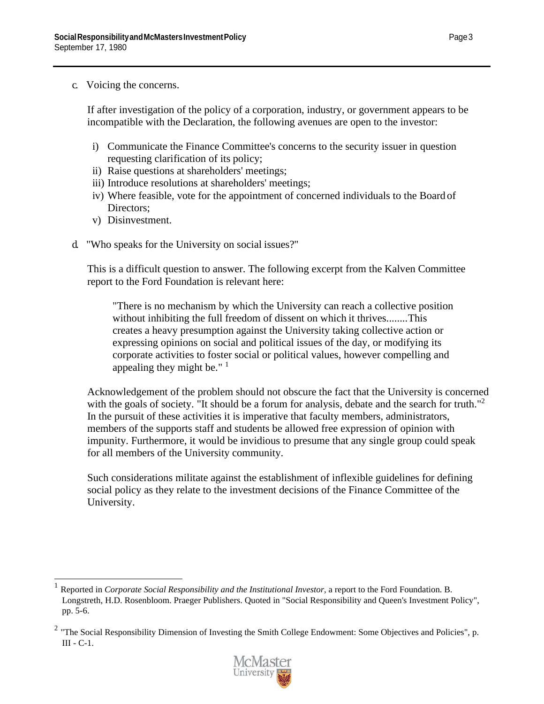c. Voicing the concerns.

If after investigation of the policy of a corporation, industry, or government appears to be incompatible with the Declaration, the following avenues are open to the investor:

- i) Communicate the Finance Committee's concerns to the security issuer in question requesting clarification of its policy;
- ii) Raise questions at shareholders' meetings;
- iii) Introduce resolutions at shareholders' meetings;
- iv) Where feasible, vote for the appointment of concerned individuals to the Board of Directors;
- v) Disinvestment.
- d. "Who speaks for the University on social issues?"

This is a difficult question to answer. The following excerpt from the Kalven Committee report to the Ford Foundation is relevant here:

"There is no mechanism by which the University can reach a collective position without inhibiting the full freedom of dissent on which it thrives........This creates a heavy presumption against the University taking collective action or expressing opinions on social and political issues of the day, or modifying its corporate activities to foster social or political values, however compelling and appealing they might be."  $\frac{1}{1}$ 

Acknowledgement of the problem should not obscure the fact that the University is concerned with the goals of society. "It should be a forum for analysis, debate and the search for truth."<sup>[2](#page-2-1)</sup> In the pursuit of these activities it is imperative that faculty members, administrators, members of the supports staff and students be allowed free expression of opinion with impunity. Furthermore, it would be invidious to presume that any single group could speak for all members of the University community.

Such considerations militate against the establishment of inflexible guidelines for defining social policy as they relate to the investment decisions of the Finance Committee of the University.

<span id="page-2-1"></span><sup>&</sup>lt;sup>2</sup> "The Social Responsibility Dimension of Investing the Smith College Endowment: Some Objectives and Policies", p. III - C-1.



<span id="page-2-0"></span><sup>1</sup> Reported in *Corporate Social Responsibility and the Institutional Investor*, a report to the Ford Foundation. B. Longstreth, H.D. Rosenbloom. Praeger Publishers. Quoted in "Social Responsibility and Queen's Investment Policy", pp. 5-6.